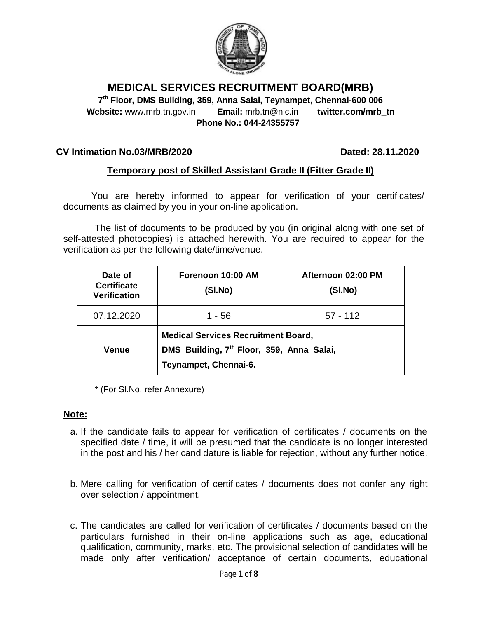

# **MEDICAL SERVICES RECRUITMENT BOARD(MRB)**

**7 th Floor, DMS Building, 359, Anna Salai, Teynampet, Chennai-600 006 Website:** www.mrb.tn.gov.in **Email:** mrb.tn@nic.in **twitter.com/mrb\_tn Phone No.: 044-24355757**

#### **CV Intimation No.03/MRB/2020 Dated: 28.11.2020**

### **Temporary post of Skilled Assistant Grade II (Fitter Grade II)**

You are hereby informed to appear for verification of your certificates/ documents as claimed by you in your on-line application.

The list of documents to be produced by you (in original along with one set of self-attested photocopies) is attached herewith. You are required to appear for the verification as per the following date/time/venue.

| Date of<br><b>Certificate</b><br><b>Verification</b> | Forenoon 10:00 AM<br>(SI.No)                                                                                                 | Afternoon 02:00 PM<br>(SI.No) |
|------------------------------------------------------|------------------------------------------------------------------------------------------------------------------------------|-------------------------------|
| 07.12.2020                                           | 1 - 56                                                                                                                       | $57 - 112$                    |
| <b>Venue</b>                                         | <b>Medical Services Recruitment Board,</b><br>DMS Building, 7 <sup>th</sup> Floor, 359, Anna Salai,<br>Teynampet, Chennai-6. |                               |

\* (For Sl.No. refer Annexure)

#### **Note:**

- a. If the candidate fails to appear for verification of certificates / documents on the specified date / time, it will be presumed that the candidate is no longer interested in the post and his / her candidature is liable for rejection, without any further notice.
- b. Mere calling for verification of certificates / documents does not confer any right over selection / appointment.
- c. The candidates are called for verification of certificates / documents based on the particulars furnished in their on-line applications such as age, educational qualification, community, marks, etc. The provisional selection of candidates will be made only after verification/ acceptance of certain documents, educational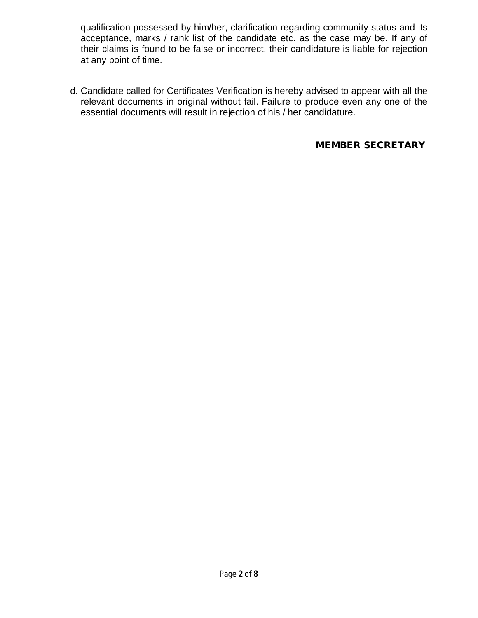qualification possessed by him/her, clarification regarding community status and its acceptance, marks / rank list of the candidate etc. as the case may be. If any of their claims is found to be false or incorrect, their candidature is liable for rejection at any point of time.

d. Candidate called for Certificates Verification is hereby advised to appear with all the relevant documents in original without fail. Failure to produce even any one of the essential documents will result in rejection of his / her candidature.

## **MEMBER SECRETARY**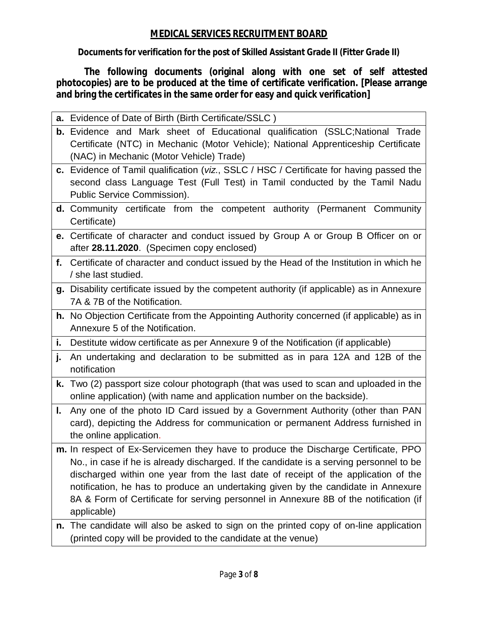# **MEDICAL SERVICES RECRUITMENT BOARD**

**Documents for verification for the post of Skilled Assistant Grade II (Fitter Grade II)**

**The following documents (original along with one set of self attested photocopies) are to be produced at the time of certificate verification. [Please arrange and bring the certificates in the same order for easy and quick verification]**

|    | a. Evidence of Date of Birth (Birth Certificate/SSLC)                                                                                                                   |
|----|-------------------------------------------------------------------------------------------------------------------------------------------------------------------------|
|    | b. Evidence and Mark sheet of Educational qualification (SSLC;National Trade<br>Certificate (NTC) in Mechanic (Motor Vehicle); National Apprenticeship Certificate      |
|    | (NAC) in Mechanic (Motor Vehicle) Trade)                                                                                                                                |
|    | c. Evidence of Tamil qualification (viz., SSLC / HSC / Certificate for having passed the<br>second class Language Test (Full Test) in Tamil conducted by the Tamil Nadu |
|    | Public Service Commission).                                                                                                                                             |
|    | <b>d.</b> Community certificate from the competent authority (Permanent Community                                                                                       |
|    | Certificate)                                                                                                                                                            |
|    | e. Certificate of character and conduct issued by Group A or Group B Officer on or                                                                                      |
|    | after 28.11.2020. (Specimen copy enclosed)                                                                                                                              |
|    | f. Certificate of character and conduct issued by the Head of the Institution in which he                                                                               |
|    | / she last studied.                                                                                                                                                     |
|    | g. Disability certificate issued by the competent authority (if applicable) as in Annexure                                                                              |
|    | 7A & 7B of the Notification.                                                                                                                                            |
|    | h. No Objection Certificate from the Appointing Authority concerned (if applicable) as in                                                                               |
|    | Annexure 5 of the Notification.                                                                                                                                         |
| i. | Destitute widow certificate as per Annexure 9 of the Notification (if applicable)                                                                                       |
| j. | An undertaking and declaration to be submitted as in para 12A and 12B of the<br>notification                                                                            |
|    | k. Two (2) passport size colour photograph (that was used to scan and uploaded in the<br>online application) (with name and application number on the backside).        |
| L. | Any one of the photo ID Card issued by a Government Authority (other than PAN                                                                                           |
|    | card), depicting the Address for communication or permanent Address furnished in                                                                                        |
|    | the online application.                                                                                                                                                 |
|    | m. In respect of Ex-Servicemen they have to produce the Discharge Certificate, PPO                                                                                      |
|    | No., in case if he is already discharged. If the candidate is a serving personnel to be                                                                                 |
|    | discharged within one year from the last date of receipt of the application of the                                                                                      |
|    | notification, he has to produce an undertaking given by the candidate in Annexure                                                                                       |
|    | 8A & Form of Certificate for serving personnel in Annexure 8B of the notification (if<br>applicable)                                                                    |
|    | n. The candidate will also be asked to sign on the printed copy of on-line application                                                                                  |
|    | (printed copy will be provided to the candidate at the venue)                                                                                                           |
|    |                                                                                                                                                                         |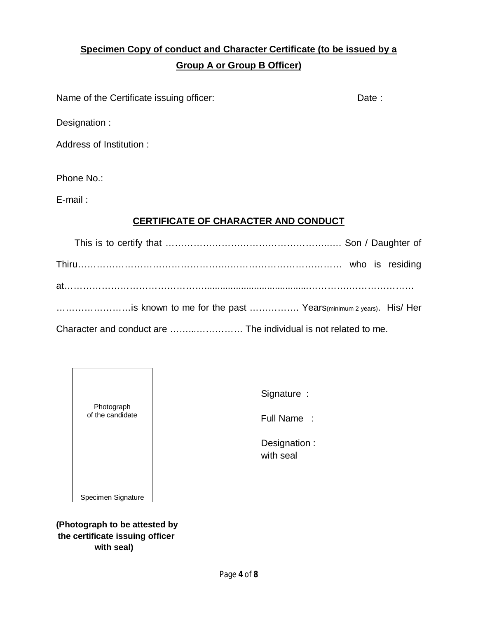# **Specimen Copy of conduct and Character Certificate (to be issued by a Group A or Group B Officer)**

Name of the Certificate issuing officer: Date : Date :

Designation :

Address of Institution :

Phone No.:

E-mail :

# **CERTIFICATE OF CHARACTER AND CONDUCT**

| is known to me for the past  Years(minimum 2 years). His/ Her                                                                                                                                                                  |  |
|--------------------------------------------------------------------------------------------------------------------------------------------------------------------------------------------------------------------------------|--|
| where the contract of the contract of the contract of the contract of the contract of the contract of the contract of the contract of the contract of the contract of the contract of the contract of the contract of the cont |  |

Character and conduct are ……...…………… The individual is not related to me.



Signature :

Full Name :

 Designation : with seal

**(Photograph to be attested by the certificate issuing officer with seal)**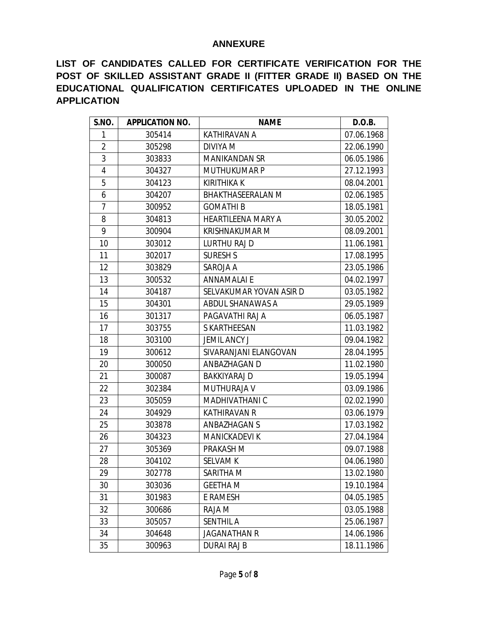#### **ANNEXURE**

**LIST OF CANDIDATES CALLED FOR CERTIFICATE VERIFICATION FOR THE POST OF SKILLED ASSISTANT GRADE II (FITTER GRADE II) BASED ON THE EDUCATIONAL QUALIFICATION CERTIFICATES UPLOADED IN THE ONLINE APPLICATION**

| S.NO.          | <b>APPLICATION NO.</b> | <b>NAME</b>               | D.O.B.     |
|----------------|------------------------|---------------------------|------------|
| 1              | 305414                 | KATHIRAVAN A              | 07.06.1968 |
| $\overline{a}$ | 305298                 | DIVIYA M                  | 22.06.1990 |
| 3              | 303833                 | <b>MANIKANDAN SR</b>      | 06.05.1986 |
| 4              | 304327                 | <b>MUTHUKUMAR P</b>       | 27.12.1993 |
| 5              | 304123                 | <b>KIRITHIKA K</b>        | 08.04.2001 |
| 6              | 304207                 | <b>BHAKTHASEERALAN M</b>  | 02.06.1985 |
| 7              | 300952                 | <b>GOMATHIB</b>           | 18.05.1981 |
| 8              | 304813                 | <b>HEARTILEENA MARY A</b> | 30.05.2002 |
| 9              | 300904                 | <b>KRISHNAKUMAR M</b>     | 08.09.2001 |
| 10             | 303012                 | <b>LURTHU RAJ D</b>       | 11.06.1981 |
| 11             | 302017                 | <b>SURESH S</b>           | 17.08.1995 |
| 12             | 303829                 | SAROJA A                  | 23.05.1986 |
| 13             | 300532                 | <b>ANNAMALAI E</b>        | 04.02.1997 |
| 14             | 304187                 | SELVAKUMAR YOVAN ASIR D   | 03.05.1982 |
| 15             | 304301                 | ABDUL SHANAWAS A          | 29.05.1989 |
| 16             | 301317                 | PAGAVATHI RAJ A           | 06.05.1987 |
| 17             | 303755                 | S KARTHEESAN              | 11.03.1982 |
| 18             | 303100                 | <b>JEMIL ANCY J</b>       | 09.04.1982 |
| 19             | 300612                 | SIVARANJANI ELANGOVAN     | 28.04.1995 |
| 20             | 300050                 | ANBAZHAGAN D              | 11.02.1980 |
| 21             | 300087                 | <b>BAKKIYARAJ D</b>       | 19.05.1994 |
| 22             | 302384                 | MUTHURAJA V               | 03.09.1986 |
| 23             | 305059                 | MADHIVATHANI C            | 02.02.1990 |
| 24             | 304929                 | <b>KATHIRAVAN R</b>       | 03.06.1979 |
| 25             | 303878                 | <b>ANBAZHAGAN S</b>       | 17.03.1982 |
| 26             | 304323                 | <b>MANICKADEVI K</b>      | 27.04.1984 |
| 27             | 305369                 | PRAKASH M                 | 09.07.1988 |
| 28             | 304102                 | <b>SELVAM K</b>           | 04.06.1980 |
| 29             | 302778                 | SARITHA M                 | 13.02.1980 |
| 30             | 303036                 | <b>GEETHA M</b>           | 19.10.1984 |
| 31             | 301983                 | E RAMESH                  | 04.05.1985 |
| 32             | 300686                 | RAJA M                    | 03.05.1988 |
| 33             | 305057                 | <b>SENTHIL A</b>          | 25.06.1987 |
| 34             | 304648                 | <b>JAGANATHAN R</b>       | 14.06.1986 |
| 35             | 300963                 | <b>DURAI RAJ B</b>        | 18.11.1986 |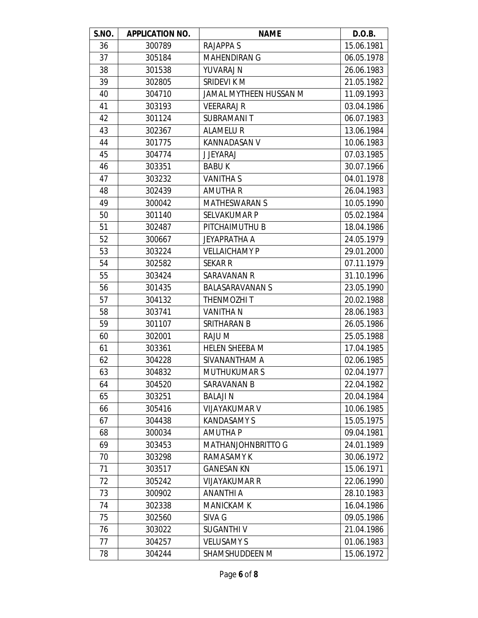| S.NO. | <b>APPLICATION NO.</b> | <b>NAME</b>            | D.O.B.     |
|-------|------------------------|------------------------|------------|
| 36    | 300789                 | <b>RAJAPPA S</b>       | 15.06.1981 |
| 37    | 305184                 | <b>MAHENDIRAN G</b>    | 06.05.1978 |
| 38    | 301538                 | YUVARAJ N              | 26.06.1983 |
| 39    | 302805                 | SRIDEVI K M            | 21.05.1982 |
| 40    | 304710                 | JAMAL MYTHEEN HUSSAN M | 11.09.1993 |
| 41    | 303193                 | <b>VEERARAJ R</b>      | 03.04.1986 |
| 42    | 301124                 | <b>SUBRAMANIT</b>      | 06.07.1983 |
| 43    | 302367                 | <b>ALAMELUR</b>        | 13.06.1984 |
| 44    | 301775                 | KANNADASAN V           | 10.06.1983 |
| 45    | 304774                 | <b>J JEYARAJ</b>       | 07.03.1985 |
| 46    | 303351                 | <b>BABUK</b>           | 30.07.1966 |
| 47    | 303232                 | <b>VANITHA S</b>       | 04.01.1978 |
| 48    | 302439                 | AMUTHA R               | 26.04.1983 |
| 49    | 300042                 | <b>MATHESWARAN S</b>   | 10.05.1990 |
| 50    | 301140                 | <b>SELVAKUMAR P</b>    | 05.02.1984 |
| 51    | 302487                 | PITCHAIMUTHU B         | 18.04.1986 |
| 52    | 300667                 | <b>JEYAPRATHA A</b>    | 24.05.1979 |
| 53    | 303224                 | <b>VELLAICHAMY P</b>   | 29.01.2000 |
| 54    | 302582                 | <b>SEKAR R</b>         | 07.11.1979 |
| 55    | 303424                 | <b>SARAVANAN R</b>     | 31.10.1996 |
| 56    | 301435                 | <b>BALASARAVANAN S</b> | 23.05.1990 |
| 57    | 304132                 | <b>THENMOZHIT</b>      | 20.02.1988 |
| 58    | 303741                 | <b>VANITHA N</b>       | 28.06.1983 |
| 59    | 301107                 | SRITHARAN B            | 26.05.1986 |
| 60    | 302001                 | RAJU M                 | 25.05.1988 |
| 61    | 303361                 | <b>HELEN SHEEBA M</b>  | 17.04.1985 |
| 62    | 304228                 | SIVANANTHAM A          | 02.06.1985 |
| 63    | 304832                 | <b>MUTHUKUMARS</b>     | 02.04.1977 |
| 64    | 304520                 | SARAVANAN B            | 22.04.1982 |
| 65    | 303251                 | <b>BALAJIN</b>         | 20.04.1984 |
| 66    | 305416                 | <b>VIJAYAKUMAR V</b>   | 10.06.1985 |
| 67    | 304438                 | <b>KANDASAMY S</b>     | 15.05.1975 |
| 68    | 300034                 | <b>AMUTHA P</b>        | 09.04.1981 |
| 69    | 303453                 | MATHANJOHNBRITTO G     | 24.01.1989 |
| 70    | 303298                 | RAMASAMY K             | 30.06.1972 |
| 71    | 303517                 | <b>GANESAN KN</b>      | 15.06.1971 |
| 72    | 305242                 | VIJAYAKUMAR R          | 22.06.1990 |
| 73    | 300902                 | ANANTHI A              | 28.10.1983 |
| 74    | 302338                 | <b>MANICKAM K</b>      | 16.04.1986 |
| 75    | 302560                 | SIVA G                 | 09.05.1986 |
| 76    | 303022                 | <b>SUGANTHIV</b>       | 21.04.1986 |
| 77    | 304257                 | <b>VELUSAMY S</b>      | 01.06.1983 |
| 78    | 304244                 | SHAMSHUDDEEN M         | 15.06.1972 |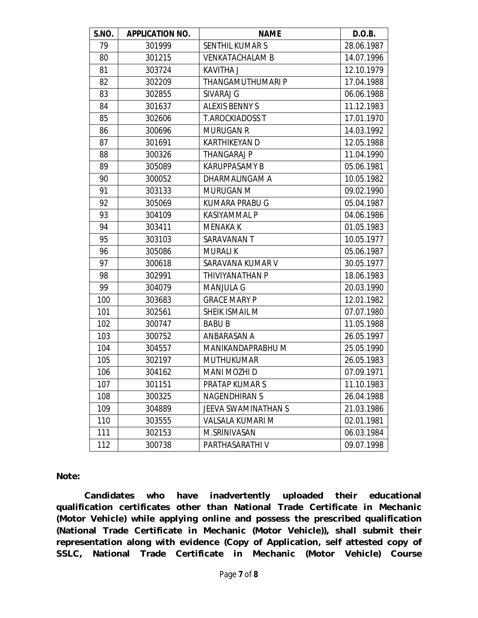| S.NO. | <b>APPLICATION NO.</b> | <b>NAME</b>                | D.O.B.     |
|-------|------------------------|----------------------------|------------|
| 79    | 301999                 | <b>SENTHIL KUMARS</b>      | 28.06.1987 |
| 80    | 301215                 | <b>VENKATACHALAM B</b>     | 14.07.1996 |
| 81    | 303724                 | KAVITHA J                  | 12.10.1979 |
| 82    | 302209                 | THANGAMUTHUMARI P          | 17.04.1988 |
| 83    | 302855                 | SIVARAJ G                  | 06.06.1988 |
| 84    | 301637                 | <b>ALEXIS BENNY S</b>      | 11.12.1983 |
| 85    | 302606                 | <b>T.AROCKIADOSS T</b>     | 17.01.1970 |
| 86    | 300696                 | <b>MURUGAN R</b>           | 14.03.1992 |
| 87    | 301691                 | KARTHIKEYAN D              | 12.05.1988 |
| 88    | 300326                 | <b>THANGARAJ P</b>         | 11.04.1990 |
| 89    | 305089                 | <b>KARUPPASAMY B</b>       | 05.06.1981 |
| 90    | 300052                 | DHARMALINGAM A             | 10.05.1982 |
| 91    | 303133                 | MURUGAN M                  | 09.02.1990 |
| 92    | 305069                 | <b>KUMARA PRABU G</b>      | 05.04.1987 |
| 93    | 304109                 | <b>KASIYAMMAL P</b>        | 04.06.1986 |
| 94    | 303411                 | <b>MENAKA K</b>            | 01.05.1983 |
| 95    | 303103                 | SARAVANAN T                | 10.05.1977 |
| 96    | 305086                 | <b>MURALI K</b>            | 05.06.1987 |
| 97    | 300618                 | SARAVANA KUMAR V           | 30.05.1977 |
| 98    | 302991                 | THIVIYANATHAN P            | 18.06.1983 |
| 99    | 304079                 | <b>MANJULA G</b>           | 20.03.1990 |
| 100   | 303683                 | <b>GRACE MARY P</b>        | 12.01.1982 |
| 101   | 302561                 | SHEIK ISMAIL M             | 07.07.1980 |
| 102   | 300747                 | <b>BABU B</b>              | 11.05.1988 |
| 103   | 300752                 | ANBARASAN A                | 26.05.1997 |
| 104   | 304557                 | MANIKANDAPRABHU M          | 25.05.1990 |
| 105   | 302197                 | <b>MUTHUKUMAR</b>          | 26.05.1983 |
| 106   | 304162                 | <b>MANI MOZHI D</b>        | 07.09.1971 |
| 107   | 301151                 | PRATAP KUMAR S             | 11.10.1983 |
| 108   | 300325                 | <b>NAGENDHIRAN S</b>       | 26.04.1988 |
| 109   | 304889                 | <b>JEEVA SWAMINATHAN S</b> | 21.03.1986 |
| 110   | 303555                 | VALSALA KUMARI M           | 02.01.1981 |
| 111   | 302153                 | M.SRINIVASAN               | 06.03.1984 |
| 112   | 300738                 | PARTHASARATHI V            | 09.07.1998 |

**Note:** 

**Candidates who have inadvertently uploaded their educational qualification certificates other than National Trade Certificate in Mechanic (Motor Vehicle) while applying online and possess the prescribed qualification (National Trade Certificate in Mechanic (Motor Vehicle)), shall submit their representation along with evidence (Copy of Application, self attested copy of SSLC, National Trade Certificate in Mechanic (Motor Vehicle) Course**